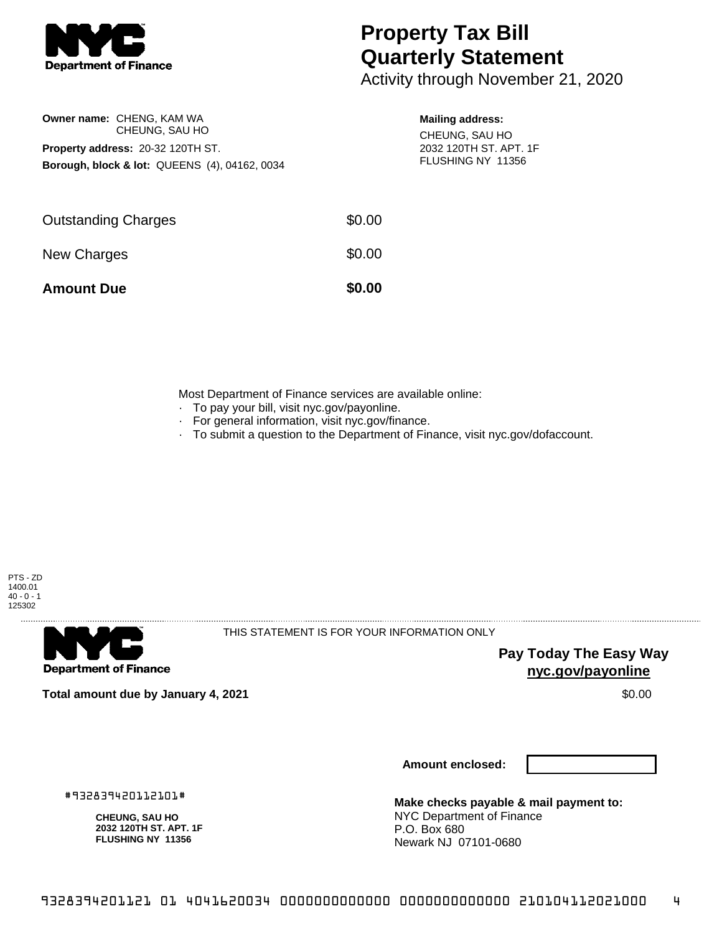

**Owner name:** CHENG, KAM WA

**Property address:** 20-32 120TH ST.

CHEUNG, SAU HO

**Borough, block & lot:** QUEENS (4), 04162, 0034

## **Property Tax Bill Quarterly Statement**

Activity through November 21, 2020

## **Mailing address:**

CHEUNG, SAU HO 2032 120TH ST. APT. 1F FLUSHING NY 11356

| <b>Amount Due</b>          | \$0.00 |
|----------------------------|--------|
| New Charges                | \$0.00 |
| <b>Outstanding Charges</b> | \$0.00 |

Most Department of Finance services are available online:

- · To pay your bill, visit nyc.gov/payonline.
- For general information, visit nyc.gov/finance.
- · To submit a question to the Department of Finance, visit nyc.gov/dofaccount.



**Department of Finance** 

THIS STATEMENT IS FOR YOUR INFORMATION ONLY

**Pay Today The Easy Way nyc.gov/payonline**

**Total amount due by January 4, 2021** \$0.00

**Amount enclosed:**

#932839420112101#

**CHEUNG, SAU HO 2032 120TH ST. APT. 1F FLUSHING NY 11356**

**Make checks payable & mail payment to:** NYC Department of Finance P.O. Box 680 Newark NJ 07101-0680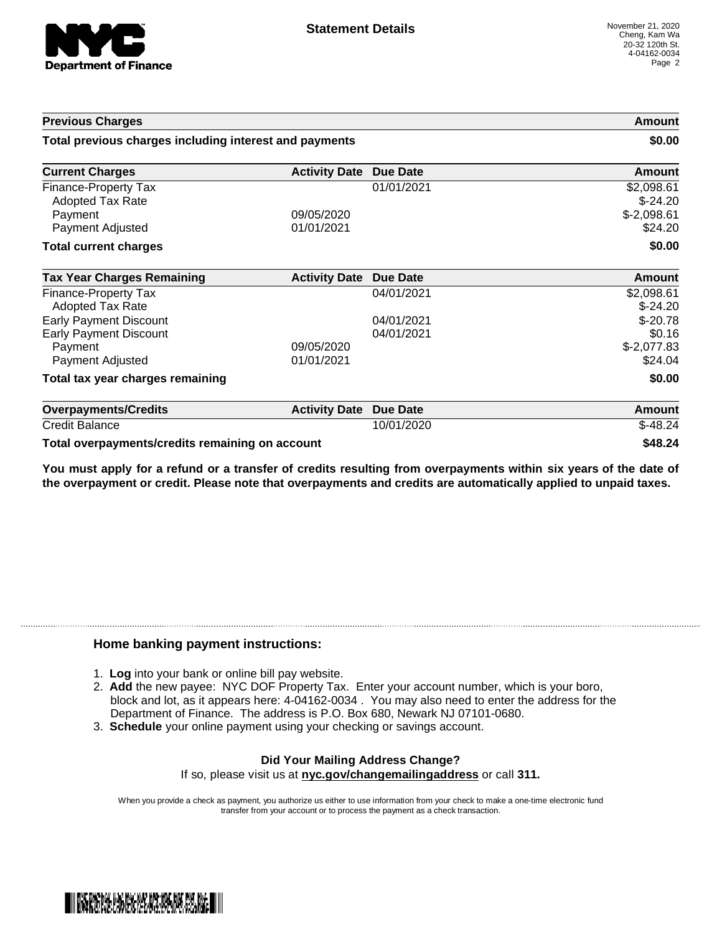

| <b>Previous Charges</b>                                                                       |                          | Amount<br>\$0.00         |                                                    |
|-----------------------------------------------------------------------------------------------|--------------------------|--------------------------|----------------------------------------------------|
| Total previous charges including interest and payments                                        |                          |                          |                                                    |
| <b>Current Charges</b>                                                                        | <b>Activity Date</b>     | <b>Due Date</b>          | Amount                                             |
| Finance-Property Tax<br>Adopted Tax Rate<br>Payment<br>Payment Adjusted                       | 09/05/2020<br>01/01/2021 | 01/01/2021               | \$2,098.61<br>$$-24.20$<br>$$-2,098.61$<br>\$24.20 |
| <b>Total current charges</b>                                                                  |                          |                          | \$0.00                                             |
| <b>Tax Year Charges Remaining</b>                                                             | <b>Activity Date</b>     | Due Date                 | <b>Amount</b>                                      |
| <b>Finance-Property Tax</b><br>Adopted Tax Rate                                               |                          | 04/01/2021               | \$2,098.61<br>$$-24.20$                            |
| <b>Early Payment Discount</b><br><b>Early Payment Discount</b><br>Payment<br>Payment Adjusted | 09/05/2020<br>01/01/2021 | 04/01/2021<br>04/01/2021 | $$-20.78$<br>\$0.16<br>$$-2,077.83$<br>\$24.04     |
| Total tax year charges remaining                                                              |                          |                          | \$0.00                                             |
| <b>Overpayments/Credits</b>                                                                   | <b>Activity Date</b>     | <b>Due Date</b>          | Amount                                             |
| <b>Credit Balance</b>                                                                         |                          | 10/01/2020               | $$-48.24$                                          |

**Total overpayments/credits remaining on account \$48.24**

You must apply for a refund or a transfer of credits resulting from overpayments within six years of the date of **the overpayment or credit. Please note that overpayments and credits are automatically applied to unpaid taxes.**

## **Home banking payment instructions:**

- 1. **Log** into your bank or online bill pay website.
- 2. **Add** the new payee: NYC DOF Property Tax. Enter your account number, which is your boro, block and lot, as it appears here: 4-04162-0034 . You may also need to enter the address for the Department of Finance. The address is P.O. Box 680, Newark NJ 07101-0680.
- 3. **Schedule** your online payment using your checking or savings account.

## **Did Your Mailing Address Change?** If so, please visit us at **nyc.gov/changemailingaddress** or call **311.**

When you provide a check as payment, you authorize us either to use information from your check to make a one-time electronic fund

transfer from your account or to process the payment as a check transaction.